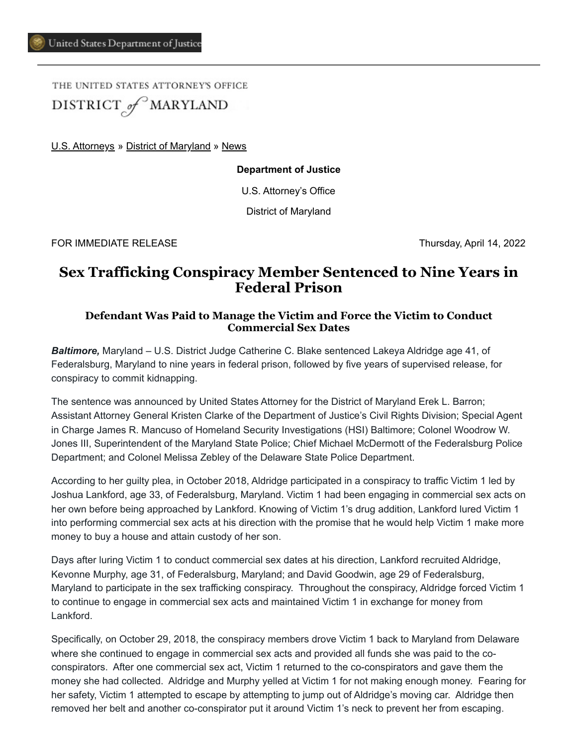THE UNITED STATES ATTORNEY'S OFFICE DISTRICT of MARYLAND

[U.S. Attorneys](https://www.justice.gov/usao) » [District of Maryland](https://www.justice.gov/usao-md) » [News](https://www.justice.gov/usao-md/pr)

**Department of Justice**

U.S. Attorney's Office

District of Maryland

FOR IMMEDIATE RELEASE Thursday, April 14, 2022

## **Sex Trafficking Conspiracy Member Sentenced to Nine Years in Federal Prison**

## **Defendant Was Paid to Manage the Victim and Force the Victim to Conduct Commercial Sex Dates**

*Baltimore,* Maryland – U.S. District Judge Catherine C. Blake sentenced Lakeya Aldridge age 41, of Federalsburg, Maryland to nine years in federal prison, followed by five years of supervised release, for conspiracy to commit kidnapping.

The sentence was announced by United States Attorney for the District of Maryland Erek L. Barron; Assistant Attorney General Kristen Clarke of the Department of Justice's Civil Rights Division; Special Agent in Charge James R. Mancuso of Homeland Security Investigations (HSI) Baltimore; Colonel Woodrow W. Jones III, Superintendent of the Maryland State Police; Chief Michael McDermott of the Federalsburg Police Department; and Colonel Melissa Zebley of the Delaware State Police Department.

According to her guilty plea, in October 2018, Aldridge participated in a conspiracy to traffic Victim 1 led by Joshua Lankford, age 33, of Federalsburg, Maryland. Victim 1 had been engaging in commercial sex acts on her own before being approached by Lankford. Knowing of Victim 1's drug addition, Lankford lured Victim 1 into performing commercial sex acts at his direction with the promise that he would help Victim 1 make more money to buy a house and attain custody of her son.

Days after luring Victim 1 to conduct commercial sex dates at his direction, Lankford recruited Aldridge, Kevonne Murphy, age 31, of Federalsburg, Maryland; and David Goodwin, age 29 of Federalsburg, Maryland to participate in the sex trafficking conspiracy. Throughout the conspiracy, Aldridge forced Victim 1 to continue to engage in commercial sex acts and maintained Victim 1 in exchange for money from Lankford.

Specifically, on October 29, 2018, the conspiracy members drove Victim 1 back to Maryland from Delaware where she continued to engage in commercial sex acts and provided all funds she was paid to the coconspirators. After one commercial sex act, Victim 1 returned to the co-conspirators and gave them the money she had collected. Aldridge and Murphy yelled at Victim 1 for not making enough money. Fearing for her safety, Victim 1 attempted to escape by attempting to jump out of Aldridge's moving car. Aldridge then removed her belt and another co-conspirator put it around Victim 1's neck to prevent her from escaping.